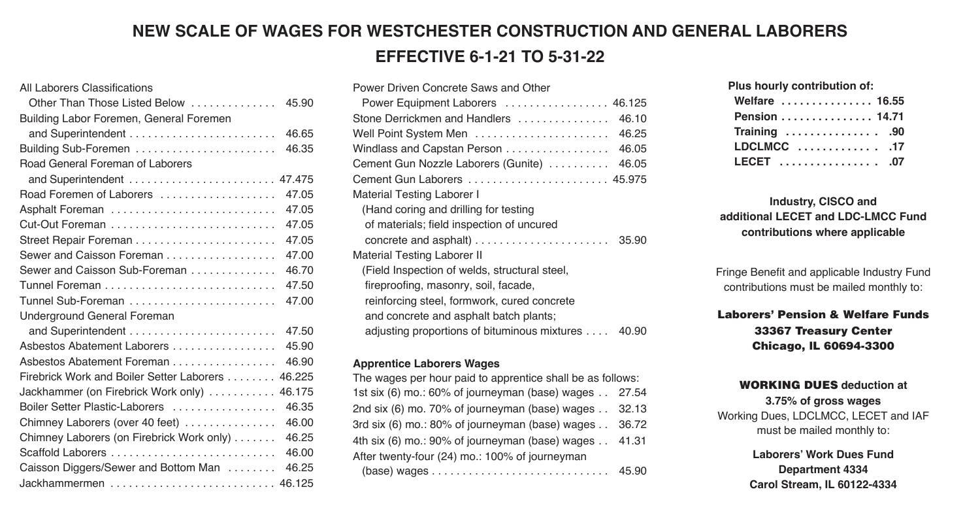### **NEW SCALE OF WAGES FOR WESTCHESTER CONSTRUCTION AND GENERAL LABORERS EFFECTIVE 6-1-21 TO 5-31-22**

#### All Laborers Classifications

| Other Than Those Listed Below<br>45.90             |
|----------------------------------------------------|
| Building Labor Foremen, General Foremen            |
| 46.65                                              |
| 46.35<br>Building Sub-Foremen                      |
| Road General Foreman of Laborers                   |
| and Superintendent  47.475                         |
| Road Foremen of Laborers<br>47.05                  |
| 47.05<br>Asphalt Foreman                           |
| 47.05<br>Cut-Out Foreman                           |
| 47.05                                              |
| 47.00<br>Sewer and Caisson Foreman                 |
| 46.70<br>Sewer and Caisson Sub-Foreman             |
| 47.50                                              |
| 47.00<br>Tunnel Sub-Foreman                        |
| Underground General Foreman                        |
| 47.50                                              |
| Asbestos Abatement Laborers<br>45.90               |
| 46.90<br>Asbestos Abatement Foreman                |
| Firebrick Work and Boiler Setter Laborers 46.225   |
| 46.175<br>Jackhammer (on Firebrick Work only)      |
| 46.35<br>Boiler Setter Plastic-Laborers            |
| Chimney Laborers (over 40 feet)<br>46.00           |
| Chimney Laborers (on Firebrick Work only)<br>46.25 |
| 46.00                                              |
| 46.25<br>Caisson Diggers/Sewer and Bottom Man      |
| 46.125<br>Jackhammermen                            |

| Power Driven Concrete Saws and Other                |
|-----------------------------------------------------|
| Power Equipment Laborers  46.125                    |
| Stone Derrickmen and Handlers<br>46.10              |
| 46.25                                               |
| 46.05<br>Windlass and Capstan Person                |
| 46.05<br>Cement Gun Nozzle Laborers (Gunite)        |
| Cement Gun Laborers  45.975                         |
| Material Testing Laborer I                          |
| (Hand coring and drilling for testing               |
| of materials; field inspection of uncured           |
| 35.90                                               |
| <b>Material Testing Laborer II</b>                  |
| (Field Inspection of welds, structural steel,       |
| fireproofing, masonry, soil, facade,                |
| reinforcing steel, formwork, cured concrete         |
| and concrete and asphalt batch plants;              |
| adjusting proportions of bituminous mixtures  40.90 |

#### **Apprentice Laborers Wages**

The wages per hour paid to apprentice shall be as follows: 1st six (6) mo.: 60% of journeyman (base) wages . . 27.54 2nd six (6) mo. 70% of journeyman (base) wages . . 32.13 3rd six (6) mo.: 80% of journeyman (base) wages . . 36.72 4th six (6) mo.: 90% of journeyman (base) wages . . 41.31 After twenty-four (24) mo.: 100% of journeyman (base) wages . . . . . . . . . . . . . . . . . . . . . . . . . . . . . 45.90

| Plus hourly contribution of: |
|------------------------------|
| Welfare  16.55               |
| Pension 14.71                |
| Training  90                 |
| LDCLMCC  17                  |
| LECET  . 07                  |

**Plus hourly contribution of:** 

#### **Industry, CISCO and additional LECET and LDC-LMCC Fund contributions where applicable**

Fringe Benefit and applicable Industry Fund contributions must be mailed monthly to:

#### **Laborers' Pension & Welfare Funds 33367 Treasury Center Chicago, lL 60694-3300**

#### **WORKING DUES deduction at 3.75% of gross wages**  Working Dues, LDCLMCC, LECET and IAF must be mailed monthly to:

**Laborers' Work Dues Fund Department 4334 Carol Stream, IL 60122-4334**